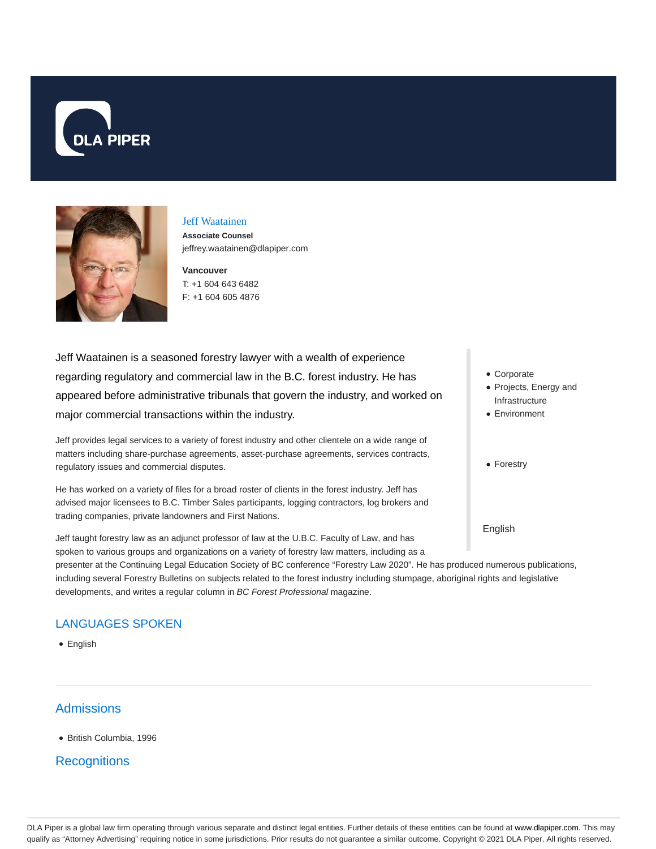



#### Jeff Waatainen

**Associate Counsel** jeffrey.waatainen@dlapiper.com

**Vancouver** T: +1 604 643 6482 F: +1 604 605 4876

Jeff Waatainen is a seasoned forestry lawyer with a wealth of experience regarding regulatory and commercial law in the B.C. forest industry. He has appeared before administrative tribunals that govern the industry, and worked on major commercial transactions within the industry.

Jeff provides legal services to a variety of forest industry and other clientele on a wide range of matters including share-purchase agreements, asset-purchase agreements, services contracts, regulatory issues and commercial disputes.

He has worked on a variety of files for a broad roster of clients in the forest industry. Jeff has advised major licensees to B.C. Timber Sales participants, logging contractors, log brokers and trading companies, private landowners and First Nations.

Jeff taught forestry law as an adjunct professor of law at the U.B.C. Faculty of Law, and has spoken to various groups and organizations on a variety of forestry law matters, including as a

- Corporate
- Projects, Energy and Infrastructure
- Environment
- Forestry

English

presenter at the Continuing Legal Education Society of BC conference "Forestry Law 2020". He has produced numerous publications, including several Forestry Bulletins on subjects related to the forest industry including stumpage, aboriginal rights and legislative developments, and writes a regular column in BC Forest Professional magazine.

# LANGUAGES SPOKEN

• English

# **Admissions**

British Columbia, 1996

# **Recognitions**

DLA Piper is a global law firm operating through various separate and distinct legal entities. Further details of these entities can be found at www.dlapiper.com. This may qualify as "Attorney Advertising" requiring notice in some jurisdictions. Prior results do not guarantee a similar outcome. Copyright © 2021 DLA Piper. All rights reserved.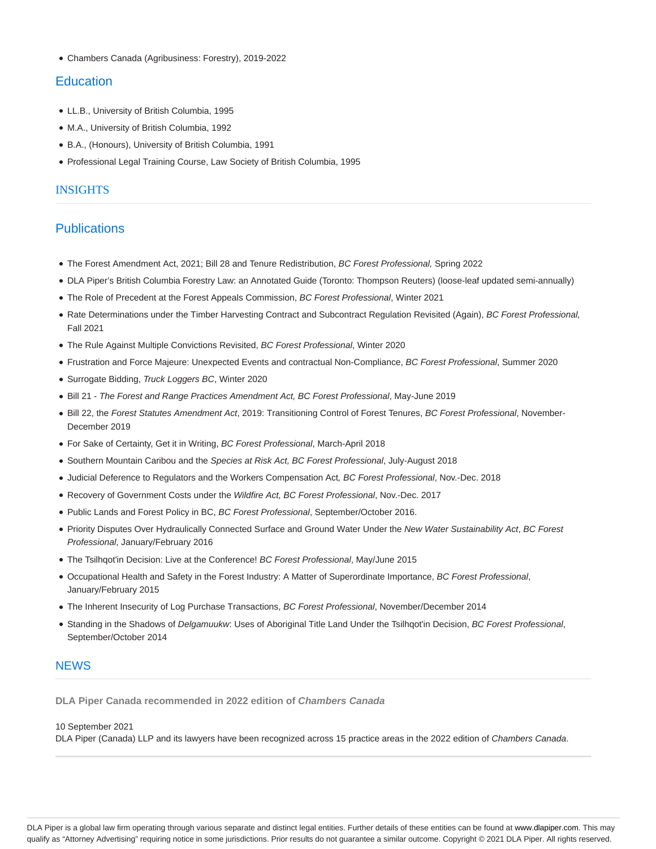Chambers Canada (Agribusiness: Forestry), 2019-2022

## **Education**

- LL.B., University of British Columbia, 1995
- M.A., University of British Columbia, 1992
- B.A., (Honours), University of British Columbia, 1991
- Professional Legal Training Course, Law Society of British Columbia, 1995

#### INSIGHTS

## **Publications**

- The Forest Amendment Act, 2021; Bill 28 and Tenure Redistribution, BC Forest Professional, Spring 2022
- DLA Piper's British Columbia Forestry Law: an Annotated Guide (Toronto: Thompson Reuters) (loose-leaf updated semi-annually)
- The Role of Precedent at the Forest Appeals Commission, BC Forest Professional, Winter 2021
- Rate Determinations under the Timber Harvesting Contract and Subcontract Regulation Revisited (Again), BC Forest Professional, Fall 2021
- The Rule Against Multiple Convictions Revisited, BC Forest Professional, Winter 2020
- Frustration and Force Majeure: Unexpected Events and contractual Non-Compliance, BC Forest Professional, Summer 2020
- Surrogate Bidding, Truck Loggers BC, Winter 2020
- Bill 21 The Forest and Range Practices Amendment Act, BC Forest Professional, May-June 2019
- · Bill 22, the Forest Statutes Amendment Act, 2019: Transitioning Control of Forest Tenures, BC Forest Professional, November-December 2019
- For Sake of Certainty, Get it in Writing, BC Forest Professional, March-April 2018
- Southern Mountain Caribou and the Species at Risk Act, BC Forest Professional, July-August 2018
- Judicial Deference to Regulators and the Workers Compensation Act, BC Forest Professional, Nov.-Dec. 2018
- Recovery of Government Costs under the Wildfire Act, BC Forest Professional, Nov.-Dec. 2017
- Public Lands and Forest Policy in BC, BC Forest Professional, September/October 2016.
- Priority Disputes Over Hydraulically Connected Surface and Ground Water Under the New Water Sustainability Act, BC Forest Professional, January/February 2016
- The Tsilhqot'in Decision: Live at the Conference! BC Forest Professional, May/June 2015
- Occupational Health and Safety in the Forest Industry: A Matter of Superordinate Importance, BC Forest Professional, January/February 2015
- The Inherent Insecurity of Log Purchase Transactions, BC Forest Professional, November/December 2014
- Standing in the Shadows of Delgamuukw: Uses of Aboriginal Title Land Under the Tsilhqot'in Decision, BC Forest Professional, September/October 2014

## **NEWS**

**DLA Piper Canada recommended in 2022 edition of Chambers Canada**

#### 10 September 2021

DLA Piper (Canada) LLP and its lawyers have been recognized across 15 practice areas in the 2022 edition of Chambers Canada.